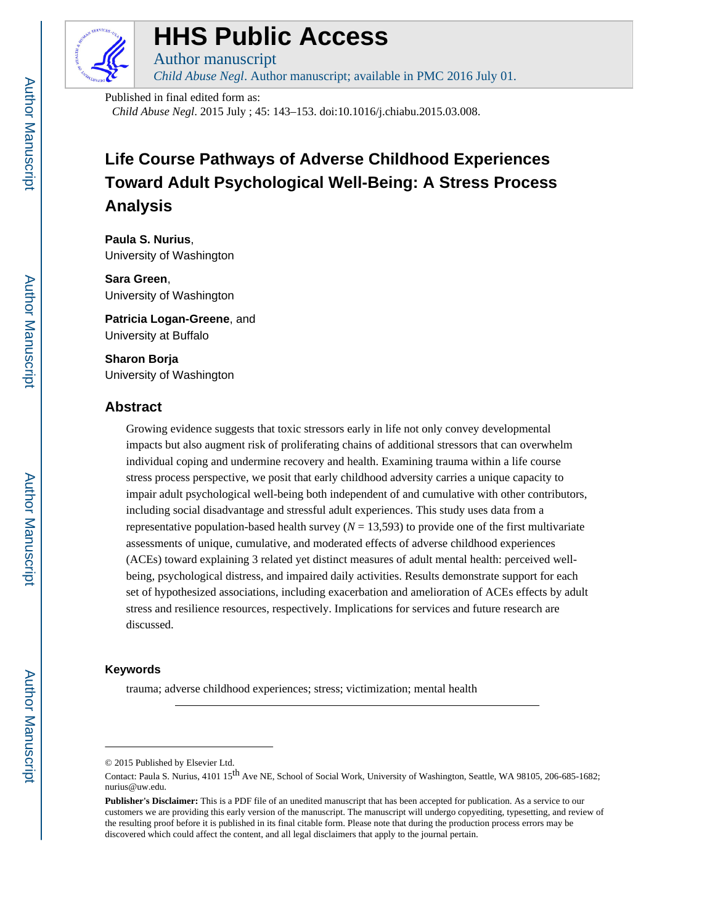

# **HHS Public Access**

Author manuscript *Child Abuse Negl*. Author manuscript; available in PMC 2016 July 01.

Published in final edited form as:

*Child Abuse Negl*. 2015 July ; 45: 143–153. doi:10.1016/j.chiabu.2015.03.008.

## **Life Course Pathways of Adverse Childhood Experiences Toward Adult Psychological Well-Being: A Stress Process Analysis**

**Paula S. Nurius**, University of Washington

**Sara Green**, University of Washington

**Patricia Logan-Greene**, and University at Buffalo

**Sharon Borja** University of Washington

## **Abstract**

Growing evidence suggests that toxic stressors early in life not only convey developmental impacts but also augment risk of proliferating chains of additional stressors that can overwhelm individual coping and undermine recovery and health. Examining trauma within a life course stress process perspective, we posit that early childhood adversity carries a unique capacity to impair adult psychological well-being both independent of and cumulative with other contributors, including social disadvantage and stressful adult experiences. This study uses data from a representative population-based health survey  $(N = 13,593)$  to provide one of the first multivariate assessments of unique, cumulative, and moderated effects of adverse childhood experiences (ACEs) toward explaining 3 related yet distinct measures of adult mental health: perceived wellbeing, psychological distress, and impaired daily activities. Results demonstrate support for each set of hypothesized associations, including exacerbation and amelioration of ACEs effects by adult stress and resilience resources, respectively. Implications for services and future research are discussed.

## **Keywords**

trauma; adverse childhood experiences; stress; victimization; mental health

<sup>© 2015</sup> Published by Elsevier Ltd.

Contact: Paula S. Nurius, 4101 15<sup>th</sup> Ave NE, School of Social Work, University of Washington, Seattle, WA 98105, 206-685-1682; nurius@uw.edu.

**Publisher's Disclaimer:** This is a PDF file of an unedited manuscript that has been accepted for publication. As a service to our customers we are providing this early version of the manuscript. The manuscript will undergo copyediting, typesetting, and review of the resulting proof before it is published in its final citable form. Please note that during the production process errors may be discovered which could affect the content, and all legal disclaimers that apply to the journal pertain.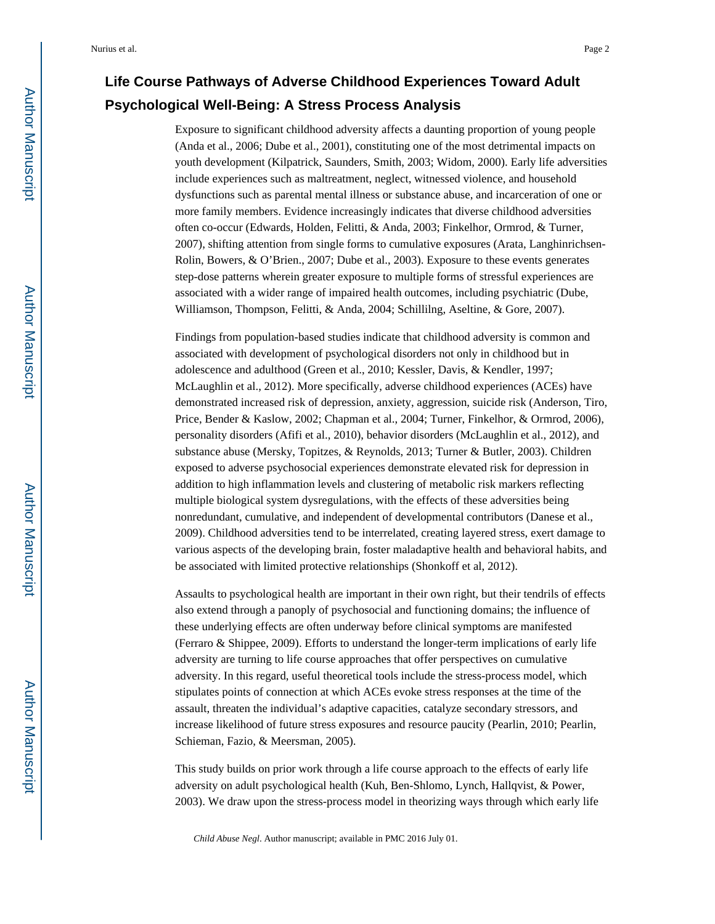## **Life Course Pathways of Adverse Childhood Experiences Toward Adult Psychological Well-Being: A Stress Process Analysis**

Exposure to significant childhood adversity affects a daunting proportion of young people (Anda et al., 2006; Dube et al., 2001), constituting one of the most detrimental impacts on youth development (Kilpatrick, Saunders, Smith, 2003; Widom, 2000). Early life adversities include experiences such as maltreatment, neglect, witnessed violence, and household dysfunctions such as parental mental illness or substance abuse, and incarceration of one or more family members. Evidence increasingly indicates that diverse childhood adversities often co-occur (Edwards, Holden, Felitti, & Anda, 2003; Finkelhor, Ormrod, & Turner, 2007), shifting attention from single forms to cumulative exposures (Arata, Langhinrichsen-Rolin, Bowers, & O'Brien., 2007; Dube et al., 2003). Exposure to these events generates step-dose patterns wherein greater exposure to multiple forms of stressful experiences are associated with a wider range of impaired health outcomes, including psychiatric (Dube, Williamson, Thompson, Felitti, & Anda, 2004; Schillilng, Aseltine, & Gore, 2007).

Findings from population-based studies indicate that childhood adversity is common and associated with development of psychological disorders not only in childhood but in adolescence and adulthood (Green et al., 2010; Kessler, Davis, & Kendler, 1997; McLaughlin et al., 2012). More specifically, adverse childhood experiences (ACEs) have demonstrated increased risk of depression, anxiety, aggression, suicide risk (Anderson, Tiro, Price, Bender & Kaslow, 2002; Chapman et al., 2004; Turner, Finkelhor, & Ormrod, 2006), personality disorders (Afifi et al., 2010), behavior disorders (McLaughlin et al., 2012), and substance abuse (Mersky, Topitzes, & Reynolds, 2013; Turner & Butler, 2003). Children exposed to adverse psychosocial experiences demonstrate elevated risk for depression in addition to high inflammation levels and clustering of metabolic risk markers reflecting multiple biological system dysregulations, with the effects of these adversities being nonredundant, cumulative, and independent of developmental contributors (Danese et al., 2009). Childhood adversities tend to be interrelated, creating layered stress, exert damage to various aspects of the developing brain, foster maladaptive health and behavioral habits, and be associated with limited protective relationships (Shonkoff et al, 2012).

Assaults to psychological health are important in their own right, but their tendrils of effects also extend through a panoply of psychosocial and functioning domains; the influence of these underlying effects are often underway before clinical symptoms are manifested (Ferraro & Shippee, 2009). Efforts to understand the longer-term implications of early life adversity are turning to life course approaches that offer perspectives on cumulative adversity. In this regard, useful theoretical tools include the stress-process model, which stipulates points of connection at which ACEs evoke stress responses at the time of the assault, threaten the individual's adaptive capacities, catalyze secondary stressors, and increase likelihood of future stress exposures and resource paucity (Pearlin, 2010; Pearlin, Schieman, Fazio, & Meersman, 2005).

This study builds on prior work through a life course approach to the effects of early life adversity on adult psychological health (Kuh, Ben-Shlomo, Lynch, Hallqvist, & Power, 2003). We draw upon the stress-process model in theorizing ways through which early life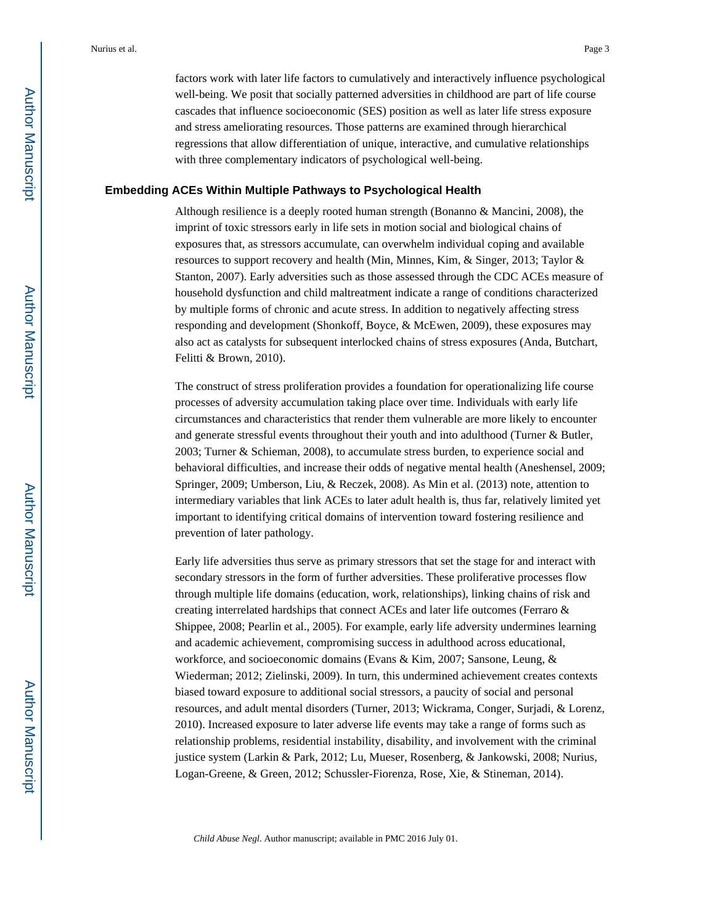factors work with later life factors to cumulatively and interactively influence psychological well-being. We posit that socially patterned adversities in childhood are part of life course cascades that influence socioeconomic (SES) position as well as later life stress exposure and stress ameliorating resources. Those patterns are examined through hierarchical regressions that allow differentiation of unique, interactive, and cumulative relationships with three complementary indicators of psychological well-being.

#### **Embedding ACEs Within Multiple Pathways to Psychological Health**

Although resilience is a deeply rooted human strength (Bonanno & Mancini, 2008), the imprint of toxic stressors early in life sets in motion social and biological chains of exposures that, as stressors accumulate, can overwhelm individual coping and available resources to support recovery and health (Min, Minnes, Kim, & Singer, 2013; Taylor & Stanton, 2007). Early adversities such as those assessed through the CDC ACEs measure of household dysfunction and child maltreatment indicate a range of conditions characterized by multiple forms of chronic and acute stress. In addition to negatively affecting stress responding and development (Shonkoff, Boyce, & McEwen, 2009), these exposures may also act as catalysts for subsequent interlocked chains of stress exposures (Anda, Butchart, Felitti & Brown, 2010).

The construct of stress proliferation provides a foundation for operationalizing life course processes of adversity accumulation taking place over time. Individuals with early life circumstances and characteristics that render them vulnerable are more likely to encounter and generate stressful events throughout their youth and into adulthood (Turner & Butler, 2003; Turner & Schieman, 2008), to accumulate stress burden, to experience social and behavioral difficulties, and increase their odds of negative mental health (Aneshensel, 2009; Springer, 2009; Umberson, Liu, & Reczek, 2008). As Min et al. (2013) note, attention to intermediary variables that link ACEs to later adult health is, thus far, relatively limited yet important to identifying critical domains of intervention toward fostering resilience and prevention of later pathology.

Early life adversities thus serve as primary stressors that set the stage for and interact with secondary stressors in the form of further adversities. These proliferative processes flow through multiple life domains (education, work, relationships), linking chains of risk and creating interrelated hardships that connect ACEs and later life outcomes (Ferraro & Shippee, 2008; Pearlin et al., 2005). For example, early life adversity undermines learning and academic achievement, compromising success in adulthood across educational, workforce, and socioeconomic domains (Evans & Kim, 2007; Sansone, Leung, & Wiederman; 2012; Zielinski, 2009). In turn, this undermined achievement creates contexts biased toward exposure to additional social stressors, a paucity of social and personal resources, and adult mental disorders (Turner, 2013; Wickrama, Conger, Surjadi, & Lorenz, 2010). Increased exposure to later adverse life events may take a range of forms such as relationship problems, residential instability, disability, and involvement with the criminal justice system (Larkin & Park, 2012; Lu, Mueser, Rosenberg, & Jankowski, 2008; Nurius, Logan-Greene, & Green, 2012; Schussler-Fiorenza, Rose, Xie, & Stineman, 2014).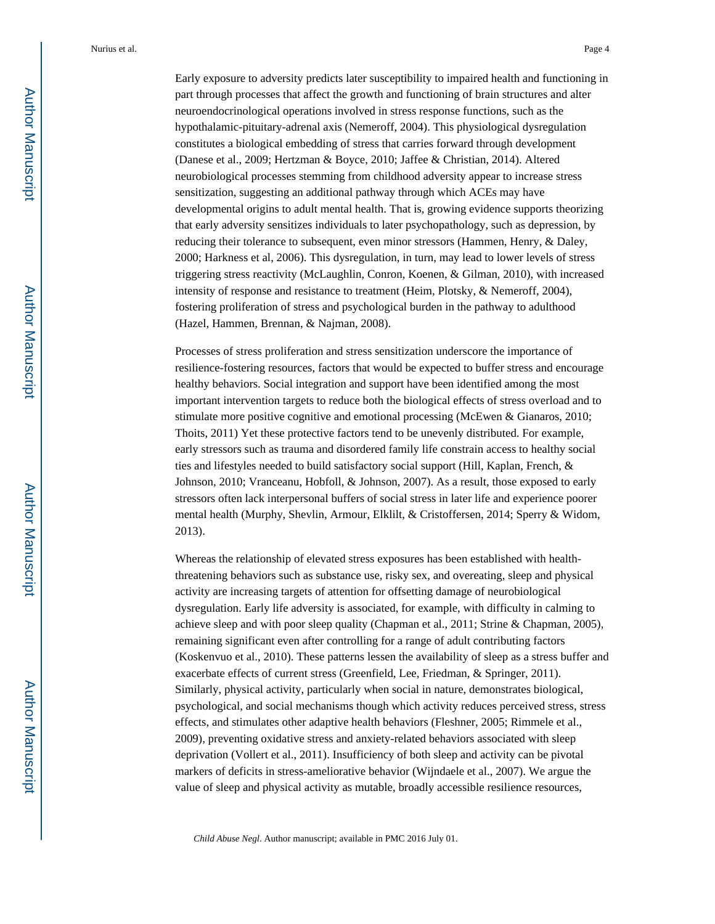Early exposure to adversity predicts later susceptibility to impaired health and functioning in part through processes that affect the growth and functioning of brain structures and alter neuroendocrinological operations involved in stress response functions, such as the hypothalamic-pituitary-adrenal axis (Nemeroff, 2004). This physiological dysregulation constitutes a biological embedding of stress that carries forward through development (Danese et al., 2009; Hertzman & Boyce, 2010; Jaffee & Christian, 2014). Altered neurobiological processes stemming from childhood adversity appear to increase stress sensitization, suggesting an additional pathway through which ACEs may have developmental origins to adult mental health. That is, growing evidence supports theorizing that early adversity sensitizes individuals to later psychopathology, such as depression, by reducing their tolerance to subsequent, even minor stressors (Hammen, Henry, & Daley, 2000; Harkness et al, 2006). This dysregulation, in turn, may lead to lower levels of stress triggering stress reactivity (McLaughlin, Conron, Koenen, & Gilman, 2010), with increased intensity of response and resistance to treatment (Heim, Plotsky, & Nemeroff, 2004), fostering proliferation of stress and psychological burden in the pathway to adulthood (Hazel, Hammen, Brennan, & Najman, 2008).

Processes of stress proliferation and stress sensitization underscore the importance of resilience-fostering resources, factors that would be expected to buffer stress and encourage healthy behaviors. Social integration and support have been identified among the most important intervention targets to reduce both the biological effects of stress overload and to stimulate more positive cognitive and emotional processing (McEwen & Gianaros, 2010; Thoits, 2011) Yet these protective factors tend to be unevenly distributed. For example, early stressors such as trauma and disordered family life constrain access to healthy social ties and lifestyles needed to build satisfactory social support (Hill, Kaplan, French, & Johnson, 2010; Vranceanu, Hobfoll, & Johnson, 2007). As a result, those exposed to early stressors often lack interpersonal buffers of social stress in later life and experience poorer mental health (Murphy, Shevlin, Armour, Elklilt, & Cristoffersen, 2014; Sperry & Widom, 2013).

Whereas the relationship of elevated stress exposures has been established with healththreatening behaviors such as substance use, risky sex, and overeating, sleep and physical activity are increasing targets of attention for offsetting damage of neurobiological dysregulation. Early life adversity is associated, for example, with difficulty in calming to achieve sleep and with poor sleep quality (Chapman et al., 2011; Strine & Chapman, 2005), remaining significant even after controlling for a range of adult contributing factors (Koskenvuo et al., 2010). These patterns lessen the availability of sleep as a stress buffer and exacerbate effects of current stress (Greenfield, Lee, Friedman, & Springer, 2011). Similarly, physical activity, particularly when social in nature, demonstrates biological, psychological, and social mechanisms though which activity reduces perceived stress, stress effects, and stimulates other adaptive health behaviors (Fleshner, 2005; Rimmele et al., 2009), preventing oxidative stress and anxiety-related behaviors associated with sleep deprivation (Vollert et al., 2011). Insufficiency of both sleep and activity can be pivotal markers of deficits in stress-ameliorative behavior (Wijndaele et al., 2007). We argue the value of sleep and physical activity as mutable, broadly accessible resilience resources,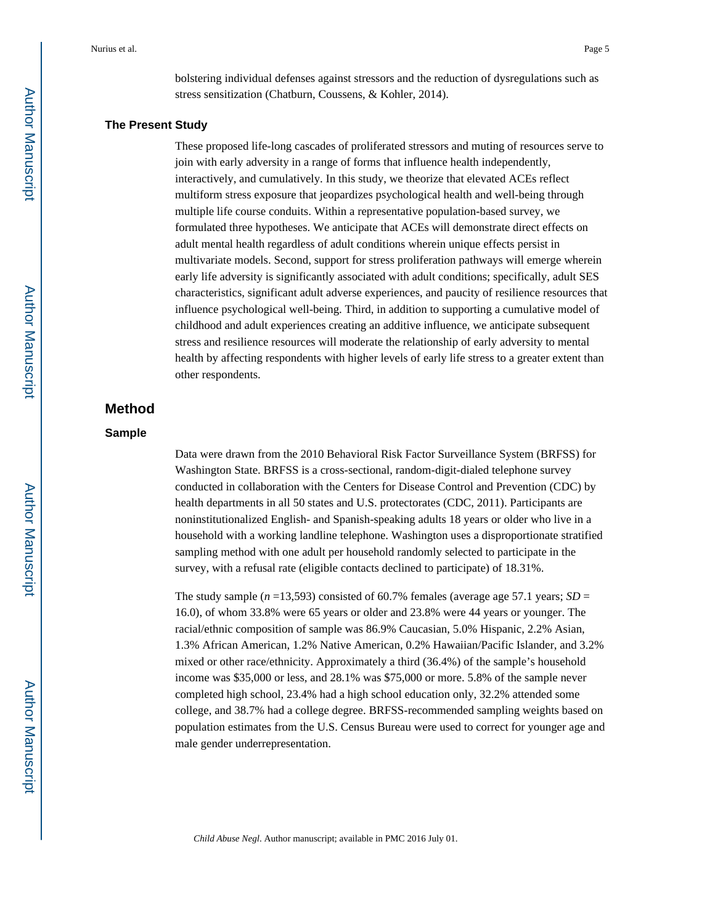bolstering individual defenses against stressors and the reduction of dysregulations such as stress sensitization (Chatburn, Coussens, & Kohler, 2014).

#### **The Present Study**

These proposed life-long cascades of proliferated stressors and muting of resources serve to join with early adversity in a range of forms that influence health independently, interactively, and cumulatively. In this study, we theorize that elevated ACEs reflect multiform stress exposure that jeopardizes psychological health and well-being through multiple life course conduits. Within a representative population-based survey, we formulated three hypotheses. We anticipate that ACEs will demonstrate direct effects on adult mental health regardless of adult conditions wherein unique effects persist in multivariate models. Second, support for stress proliferation pathways will emerge wherein early life adversity is significantly associated with adult conditions; specifically, adult SES characteristics, significant adult adverse experiences, and paucity of resilience resources that influence psychological well-being. Third, in addition to supporting a cumulative model of childhood and adult experiences creating an additive influence, we anticipate subsequent stress and resilience resources will moderate the relationship of early adversity to mental health by affecting respondents with higher levels of early life stress to a greater extent than other respondents.

### **Method**

#### **Sample**

Data were drawn from the 2010 Behavioral Risk Factor Surveillance System (BRFSS) for Washington State. BRFSS is a cross-sectional, random-digit-dialed telephone survey conducted in collaboration with the Centers for Disease Control and Prevention (CDC) by health departments in all 50 states and U.S. protectorates (CDC, 2011). Participants are noninstitutionalized English- and Spanish-speaking adults 18 years or older who live in a household with a working landline telephone. Washington uses a disproportionate stratified sampling method with one adult per household randomly selected to participate in the survey, with a refusal rate (eligible contacts declined to participate) of 18.31%.

The study sample  $(n=13,593)$  consisted of 60.7% females (average age 57.1 years;  $SD =$ 16.0), of whom 33.8% were 65 years or older and 23.8% were 44 years or younger. The racial/ethnic composition of sample was 86.9% Caucasian, 5.0% Hispanic, 2.2% Asian, 1.3% African American, 1.2% Native American, 0.2% Hawaiian/Pacific Islander, and 3.2% mixed or other race/ethnicity. Approximately a third (36.4%) of the sample's household income was \$35,000 or less, and 28.1% was \$75,000 or more. 5.8% of the sample never completed high school, 23.4% had a high school education only, 32.2% attended some college, and 38.7% had a college degree. BRFSS-recommended sampling weights based on population estimates from the U.S. Census Bureau were used to correct for younger age and male gender underrepresentation.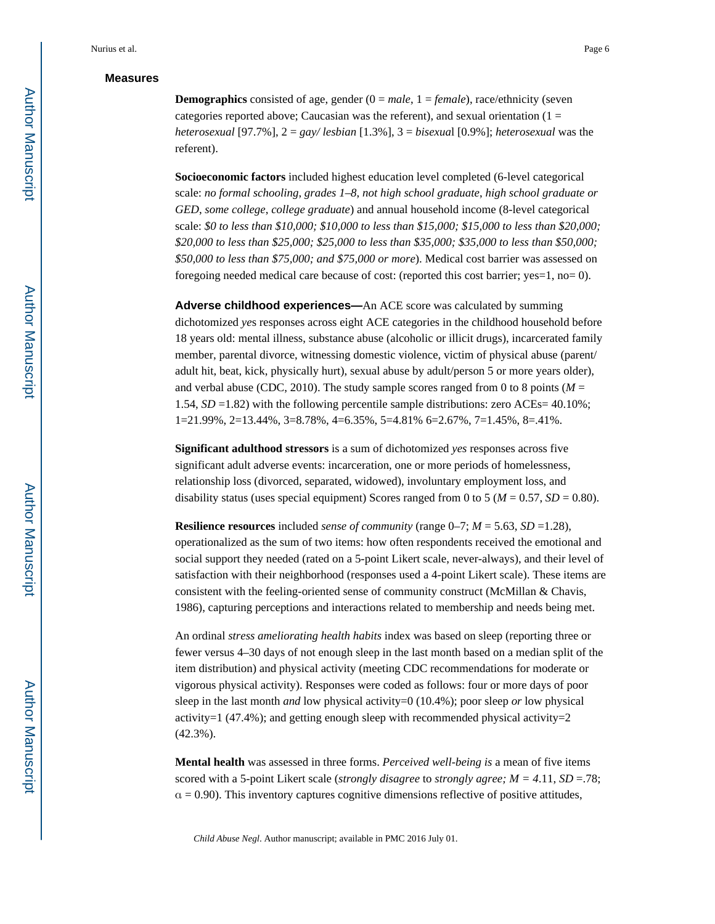#### **Measures**

**Demographics** consisted of age, gender (0 = *male*, 1 = *female*), race/ethnicity (seven categories reported above; Caucasian was the referent), and sexual orientation  $(1 =$ *heterosexual* [97.7%], 2 = *gay/ lesbian* [1.3%], 3 = *bisexua*l [0.9%]; *heterosexual* was the referent).

**Socioeconomic factors** included highest education level completed (6-level categorical scale: *no formal schooling*, *grades 1–8*, *not high school graduate*, *high school graduate or GED*, *some college*, *college graduate*) and annual household income (8-level categorical scale: *\$0 to less than \$10,000; \$10,000 to less than \$15,000; \$15,000 to less than \$20,000; \$20,000 to less than \$25,000; \$25,000 to less than \$35,000; \$35,000 to less than \$50,000; \$50,000 to less than \$75,000; and \$75,000 or more*). Medical cost barrier was assessed on foregoing needed medical care because of cost: (reported this cost barrier; yes=1, no= 0).

**Adverse childhood experiences—**An ACE score was calculated by summing dichotomized *ye*s responses across eight ACE categories in the childhood household before 18 years old: mental illness, substance abuse (alcoholic or illicit drugs), incarcerated family member, parental divorce, witnessing domestic violence, victim of physical abuse (parent/ adult hit, beat, kick, physically hurt), sexual abuse by adult/person 5 or more years older), and verbal abuse (CDC, 2010). The study sample scores ranged from 0 to 8 points ( $M =$ 1.54, *SD* = 1.82) with the following percentile sample distributions: zero ACEs= 40.10%; 1=21.99%, 2=13.44%, 3=8.78%, 4=6.35%, 5=4.81% 6=2.67%, 7=1.45%, 8=.41%.

**Significant adulthood stressors** is a sum of dichotomized *yes* responses across five significant adult adverse events: incarceration, one or more periods of homelessness, relationship loss (divorced, separated, widowed), involuntary employment loss, and disability status (uses special equipment) Scores ranged from 0 to 5 ( $M = 0.57$ ,  $SD = 0.80$ ).

**Resilience resources** included *sense of community* (range 0–7; *M* = 5.63, *SD* =1.28), operationalized as the sum of two items: how often respondents received the emotional and social support they needed (rated on a 5-point Likert scale, never-always), and their level of satisfaction with their neighborhood (responses used a 4-point Likert scale). These items are consistent with the feeling-oriented sense of community construct (McMillan & Chavis, 1986), capturing perceptions and interactions related to membership and needs being met.

An ordinal *stress ameliorating health habits* index was based on sleep (reporting three or fewer versus 4–30 days of not enough sleep in the last month based on a median split of the item distribution) and physical activity (meeting CDC recommendations for moderate or vigorous physical activity). Responses were coded as follows: four or more days of poor sleep in the last month *and* low physical activity=0 (10.4%); poor sleep *or* low physical activity=1 (47.4%); and getting enough sleep with recommended physical activity=2 (42.3%).

**Mental health** was assessed in three forms. *Perceived well-being is* a mean of five items scored with a 5-point Likert scale (*strongly disagree* to *strongly agree; M = 4*.11, *SD* =.78;  $\alpha$  = 0.90). This inventory captures cognitive dimensions reflective of positive attitudes,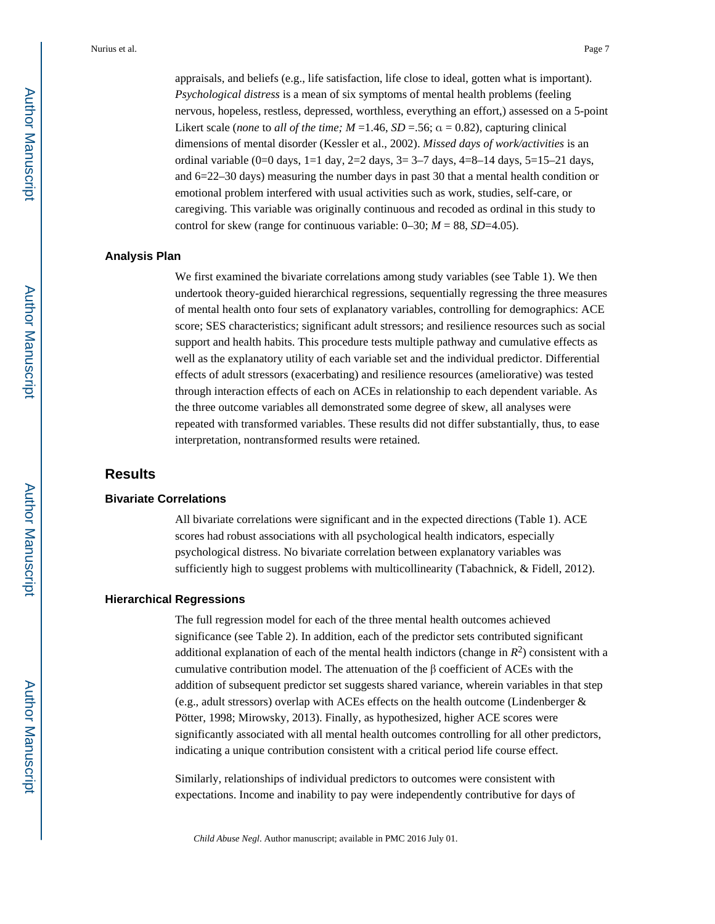appraisals, and beliefs (e.g., life satisfaction, life close to ideal, gotten what is important). *Psychological distress* is a mean of six symptoms of mental health problems (feeling nervous, hopeless, restless, depressed, worthless, everything an effort,) assessed on a 5-point Likert scale (*none* to *all of the time;*  $M = 1.46$ ,  $SD = .56$ ;  $\alpha = 0.82$ ), capturing clinical dimensions of mental disorder (Kessler et al., 2002). *Missed days of work/activities* is an ordinal variable (0=0 days, 1=1 day, 2=2 days, 3=  $3-7$  days, 4=8-14 days, 5=15-21 days, and 6=22–30 days) measuring the number days in past 30 that a mental health condition or emotional problem interfered with usual activities such as work, studies, self-care, or caregiving. This variable was originally continuous and recoded as ordinal in this study to control for skew (range for continuous variable:  $0-30$ ;  $M = 88$ , *SD*=4.05).

#### **Analysis Plan**

We first examined the bivariate correlations among study variables (see Table 1). We then undertook theory-guided hierarchical regressions, sequentially regressing the three measures of mental health onto four sets of explanatory variables, controlling for demographics: ACE score; SES characteristics; significant adult stressors; and resilience resources such as social support and health habits. This procedure tests multiple pathway and cumulative effects as well as the explanatory utility of each variable set and the individual predictor. Differential effects of adult stressors (exacerbating) and resilience resources (ameliorative) was tested through interaction effects of each on ACEs in relationship to each dependent variable. As the three outcome variables all demonstrated some degree of skew, all analyses were repeated with transformed variables. These results did not differ substantially, thus, to ease interpretation, nontransformed results were retained.

## **Results**

#### **Bivariate Correlations**

All bivariate correlations were significant and in the expected directions (Table 1). ACE scores had robust associations with all psychological health indicators, especially psychological distress. No bivariate correlation between explanatory variables was sufficiently high to suggest problems with multicollinearity (Tabachnick, & Fidell, 2012).

#### **Hierarchical Regressions**

The full regression model for each of the three mental health outcomes achieved significance (see Table 2). In addition, each of the predictor sets contributed significant additional explanation of each of the mental health indictors (change in  $R^2$ ) consistent with a cumulative contribution model. The attenuation of the β coefficient of ACEs with the addition of subsequent predictor set suggests shared variance, wherein variables in that step (e.g., adult stressors) overlap with ACEs effects on the health outcome (Lindenberger  $\&$ Pötter, 1998; Mirowsky, 2013). Finally, as hypothesized, higher ACE scores were significantly associated with all mental health outcomes controlling for all other predictors, indicating a unique contribution consistent with a critical period life course effect.

Similarly, relationships of individual predictors to outcomes were consistent with expectations. Income and inability to pay were independently contributive for days of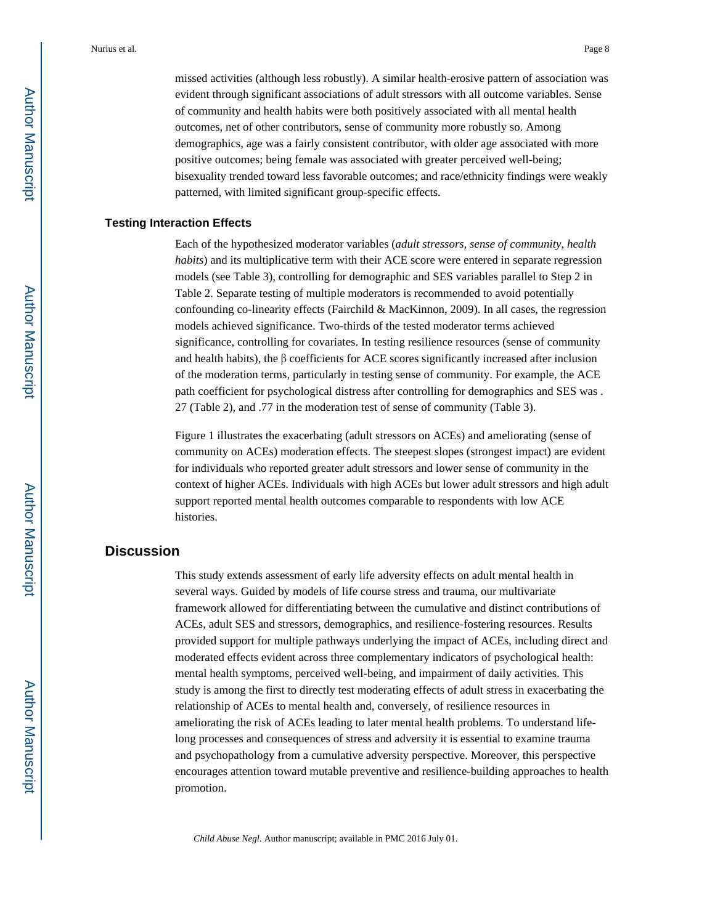missed activities (although less robustly). A similar health-erosive pattern of association was evident through significant associations of adult stressors with all outcome variables. Sense of community and health habits were both positively associated with all mental health outcomes, net of other contributors, sense of community more robustly so. Among demographics, age was a fairly consistent contributor, with older age associated with more positive outcomes; being female was associated with greater perceived well-being; bisexuality trended toward less favorable outcomes; and race/ethnicity findings were weakly patterned, with limited significant group-specific effects.

#### **Testing Interaction Effects**

Each of the hypothesized moderator variables (*adult stressors, sense of community, health habits*) and its multiplicative term with their ACE score were entered in separate regression models (see Table 3), controlling for demographic and SES variables parallel to Step 2 in Table 2. Separate testing of multiple moderators is recommended to avoid potentially confounding co-linearity effects (Fairchild & MacKinnon, 2009). In all cases, the regression models achieved significance. Two-thirds of the tested moderator terms achieved significance, controlling for covariates. In testing resilience resources (sense of community and health habits), the β coefficients for ACE scores significantly increased after inclusion of the moderation terms, particularly in testing sense of community. For example, the ACE path coefficient for psychological distress after controlling for demographics and SES was . 27 (Table 2), and .77 in the moderation test of sense of community (Table 3).

Figure 1 illustrates the exacerbating (adult stressors on ACEs) and ameliorating (sense of community on ACEs) moderation effects. The steepest slopes (strongest impact) are evident for individuals who reported greater adult stressors and lower sense of community in the context of higher ACEs. Individuals with high ACEs but lower adult stressors and high adult support reported mental health outcomes comparable to respondents with low ACE histories.

### **Discussion**

This study extends assessment of early life adversity effects on adult mental health in several ways. Guided by models of life course stress and trauma, our multivariate framework allowed for differentiating between the cumulative and distinct contributions of ACEs, adult SES and stressors, demographics, and resilience-fostering resources. Results provided support for multiple pathways underlying the impact of ACEs, including direct and moderated effects evident across three complementary indicators of psychological health: mental health symptoms, perceived well-being, and impairment of daily activities. This study is among the first to directly test moderating effects of adult stress in exacerbating the relationship of ACEs to mental health and, conversely, of resilience resources in ameliorating the risk of ACEs leading to later mental health problems. To understand lifelong processes and consequences of stress and adversity it is essential to examine trauma and psychopathology from a cumulative adversity perspective. Moreover, this perspective encourages attention toward mutable preventive and resilience-building approaches to health promotion.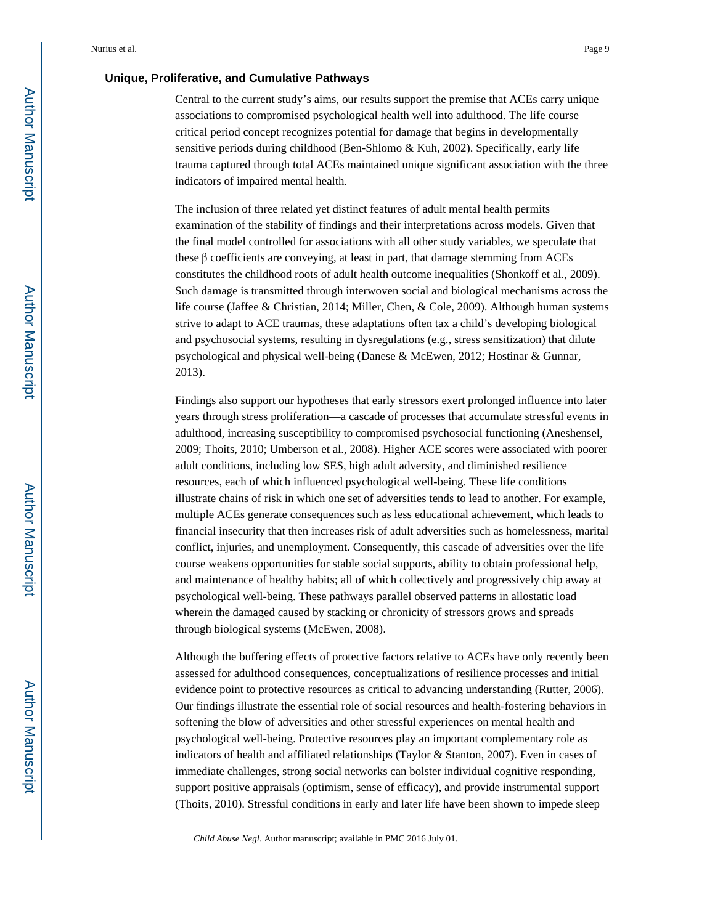#### **Unique, Proliferative, and Cumulative Pathways**

Central to the current study's aims, our results support the premise that ACEs carry unique associations to compromised psychological health well into adulthood. The life course critical period concept recognizes potential for damage that begins in developmentally sensitive periods during childhood (Ben-Shlomo & Kuh, 2002). Specifically, early life trauma captured through total ACEs maintained unique significant association with the three indicators of impaired mental health.

The inclusion of three related yet distinct features of adult mental health permits examination of the stability of findings and their interpretations across models. Given that the final model controlled for associations with all other study variables, we speculate that these  $\beta$  coefficients are conveying, at least in part, that damage stemming from ACEs constitutes the childhood roots of adult health outcome inequalities (Shonkoff et al., 2009). Such damage is transmitted through interwoven social and biological mechanisms across the life course (Jaffee & Christian, 2014; Miller, Chen, & Cole, 2009). Although human systems strive to adapt to ACE traumas, these adaptations often tax a child's developing biological and psychosocial systems, resulting in dysregulations (e.g., stress sensitization) that dilute psychological and physical well-being (Danese & McEwen, 2012; Hostinar & Gunnar, 2013).

Findings also support our hypotheses that early stressors exert prolonged influence into later years through stress proliferation—a cascade of processes that accumulate stressful events in adulthood, increasing susceptibility to compromised psychosocial functioning (Aneshensel, 2009; Thoits, 2010; Umberson et al., 2008). Higher ACE scores were associated with poorer adult conditions, including low SES, high adult adversity, and diminished resilience resources, each of which influenced psychological well-being. These life conditions illustrate chains of risk in which one set of adversities tends to lead to another. For example, multiple ACEs generate consequences such as less educational achievement, which leads to financial insecurity that then increases risk of adult adversities such as homelessness, marital conflict, injuries, and unemployment. Consequently, this cascade of adversities over the life course weakens opportunities for stable social supports, ability to obtain professional help, and maintenance of healthy habits; all of which collectively and progressively chip away at psychological well-being. These pathways parallel observed patterns in allostatic load wherein the damaged caused by stacking or chronicity of stressors grows and spreads through biological systems (McEwen, 2008).

Although the buffering effects of protective factors relative to ACEs have only recently been assessed for adulthood consequences, conceptualizations of resilience processes and initial evidence point to protective resources as critical to advancing understanding (Rutter, 2006). Our findings illustrate the essential role of social resources and health-fostering behaviors in softening the blow of adversities and other stressful experiences on mental health and psychological well-being. Protective resources play an important complementary role as indicators of health and affiliated relationships (Taylor & Stanton, 2007). Even in cases of immediate challenges, strong social networks can bolster individual cognitive responding, support positive appraisals (optimism, sense of efficacy), and provide instrumental support (Thoits, 2010). Stressful conditions in early and later life have been shown to impede sleep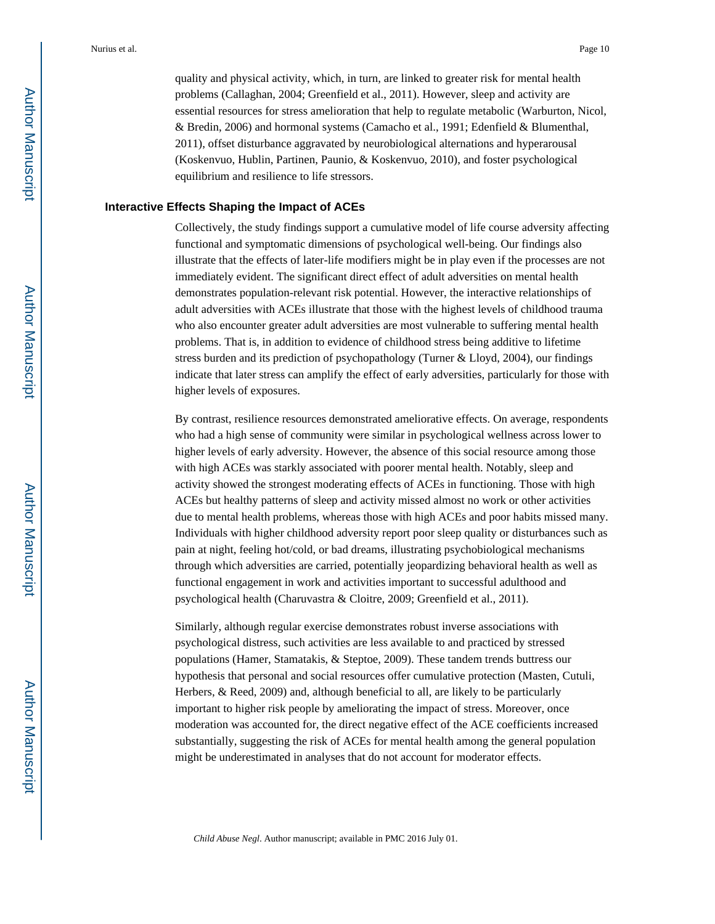quality and physical activity, which, in turn, are linked to greater risk for mental health problems (Callaghan, 2004; Greenfield et al., 2011). However, sleep and activity are essential resources for stress amelioration that help to regulate metabolic (Warburton, Nicol, & Bredin, 2006) and hormonal systems (Camacho et al., 1991; Edenfield & Blumenthal, 2011), offset disturbance aggravated by neurobiological alternations and hyperarousal (Koskenvuo, Hublin, Partinen, Paunio, & Koskenvuo, 2010), and foster psychological equilibrium and resilience to life stressors.

#### **Interactive Effects Shaping the Impact of ACEs**

Collectively, the study findings support a cumulative model of life course adversity affecting functional and symptomatic dimensions of psychological well-being. Our findings also illustrate that the effects of later-life modifiers might be in play even if the processes are not immediately evident. The significant direct effect of adult adversities on mental health demonstrates population-relevant risk potential. However, the interactive relationships of adult adversities with ACEs illustrate that those with the highest levels of childhood trauma who also encounter greater adult adversities are most vulnerable to suffering mental health problems. That is, in addition to evidence of childhood stress being additive to lifetime stress burden and its prediction of psychopathology (Turner & Lloyd, 2004), our findings indicate that later stress can amplify the effect of early adversities, particularly for those with higher levels of exposures.

By contrast, resilience resources demonstrated ameliorative effects. On average, respondents who had a high sense of community were similar in psychological wellness across lower to higher levels of early adversity. However, the absence of this social resource among those with high ACEs was starkly associated with poorer mental health. Notably, sleep and activity showed the strongest moderating effects of ACEs in functioning. Those with high ACEs but healthy patterns of sleep and activity missed almost no work or other activities due to mental health problems, whereas those with high ACEs and poor habits missed many. Individuals with higher childhood adversity report poor sleep quality or disturbances such as pain at night, feeling hot/cold, or bad dreams, illustrating psychobiological mechanisms through which adversities are carried, potentially jeopardizing behavioral health as well as functional engagement in work and activities important to successful adulthood and psychological health (Charuvastra & Cloitre, 2009; Greenfield et al., 2011).

Similarly, although regular exercise demonstrates robust inverse associations with psychological distress, such activities are less available to and practiced by stressed populations (Hamer, Stamatakis, & Steptoe, 2009). These tandem trends buttress our hypothesis that personal and social resources offer cumulative protection (Masten, Cutuli, Herbers, & Reed, 2009) and, although beneficial to all, are likely to be particularly important to higher risk people by ameliorating the impact of stress. Moreover, once moderation was accounted for, the direct negative effect of the ACE coefficients increased substantially, suggesting the risk of ACEs for mental health among the general population might be underestimated in analyses that do not account for moderator effects.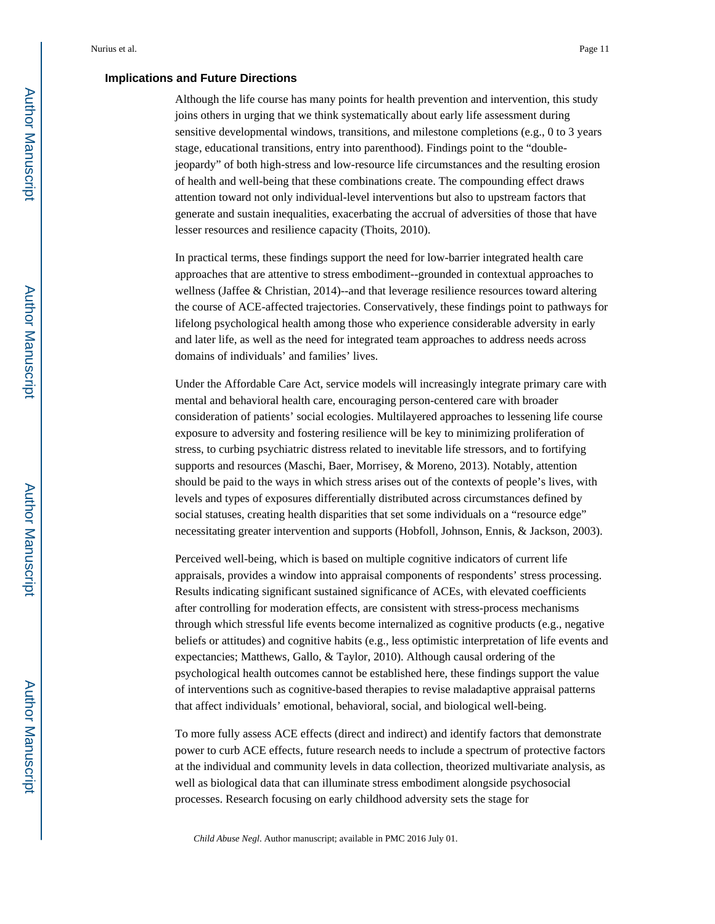#### **Implications and Future Directions**

Although the life course has many points for health prevention and intervention, this study joins others in urging that we think systematically about early life assessment during sensitive developmental windows, transitions, and milestone completions (e.g., 0 to 3 years stage, educational transitions, entry into parenthood). Findings point to the "doublejeopardy" of both high-stress and low-resource life circumstances and the resulting erosion of health and well-being that these combinations create. The compounding effect draws attention toward not only individual-level interventions but also to upstream factors that generate and sustain inequalities, exacerbating the accrual of adversities of those that have lesser resources and resilience capacity (Thoits, 2010).

In practical terms, these findings support the need for low-barrier integrated health care approaches that are attentive to stress embodiment--grounded in contextual approaches to wellness (Jaffee & Christian, 2014)--and that leverage resilience resources toward altering the course of ACE-affected trajectories. Conservatively, these findings point to pathways for lifelong psychological health among those who experience considerable adversity in early and later life, as well as the need for integrated team approaches to address needs across domains of individuals' and families' lives.

Under the Affordable Care Act, service models will increasingly integrate primary care with mental and behavioral health care, encouraging person-centered care with broader consideration of patients' social ecologies. Multilayered approaches to lessening life course exposure to adversity and fostering resilience will be key to minimizing proliferation of stress, to curbing psychiatric distress related to inevitable life stressors, and to fortifying supports and resources (Maschi, Baer, Morrisey, & Moreno, 2013). Notably, attention should be paid to the ways in which stress arises out of the contexts of people's lives, with levels and types of exposures differentially distributed across circumstances defined by social statuses, creating health disparities that set some individuals on a "resource edge" necessitating greater intervention and supports (Hobfoll, Johnson, Ennis, & Jackson, 2003).

Perceived well-being, which is based on multiple cognitive indicators of current life appraisals, provides a window into appraisal components of respondents' stress processing. Results indicating significant sustained significance of ACEs, with elevated coefficients after controlling for moderation effects, are consistent with stress-process mechanisms through which stressful life events become internalized as cognitive products (e.g., negative beliefs or attitudes) and cognitive habits (e.g., less optimistic interpretation of life events and expectancies; Matthews, Gallo, & Taylor, 2010). Although causal ordering of the psychological health outcomes cannot be established here, these findings support the value of interventions such as cognitive-based therapies to revise maladaptive appraisal patterns that affect individuals' emotional, behavioral, social, and biological well-being.

To more fully assess ACE effects (direct and indirect) and identify factors that demonstrate power to curb ACE effects, future research needs to include a spectrum of protective factors at the individual and community levels in data collection, theorized multivariate analysis, as well as biological data that can illuminate stress embodiment alongside psychosocial processes. Research focusing on early childhood adversity sets the stage for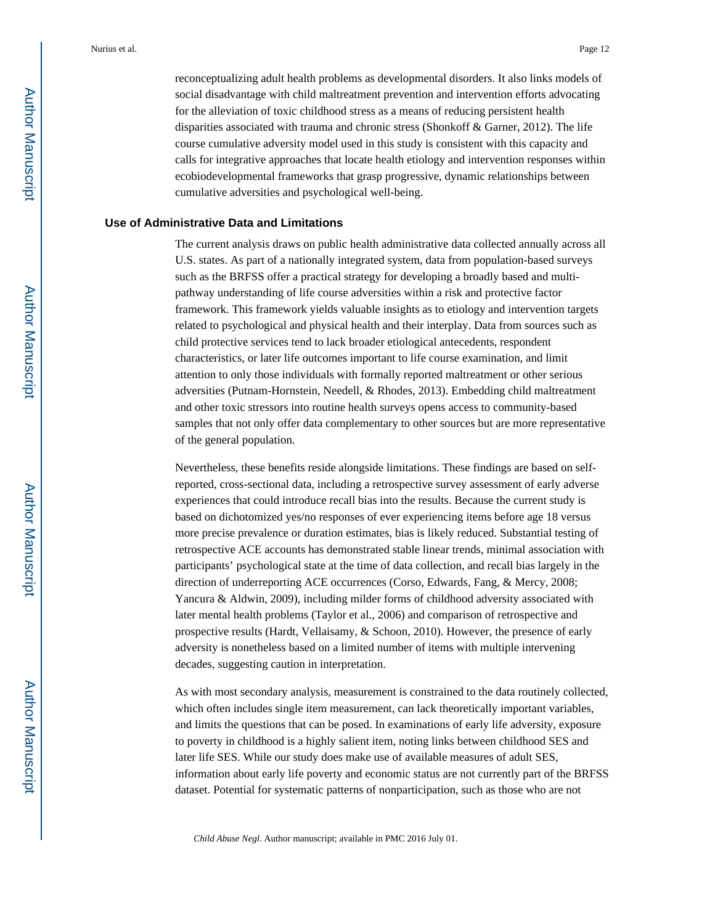reconceptualizing adult health problems as developmental disorders. It also links models of social disadvantage with child maltreatment prevention and intervention efforts advocating for the alleviation of toxic childhood stress as a means of reducing persistent health disparities associated with trauma and chronic stress (Shonkoff & Garner, 2012). The life course cumulative adversity model used in this study is consistent with this capacity and calls for integrative approaches that locate health etiology and intervention responses within ecobiodevelopmental frameworks that grasp progressive, dynamic relationships between cumulative adversities and psychological well-being.

#### **Use of Administrative Data and Limitations**

The current analysis draws on public health administrative data collected annually across all U.S. states. As part of a nationally integrated system, data from population-based surveys such as the BRFSS offer a practical strategy for developing a broadly based and multipathway understanding of life course adversities within a risk and protective factor framework. This framework yields valuable insights as to etiology and intervention targets related to psychological and physical health and their interplay. Data from sources such as child protective services tend to lack broader etiological antecedents, respondent characteristics, or later life outcomes important to life course examination, and limit attention to only those individuals with formally reported maltreatment or other serious adversities (Putnam-Hornstein, Needell, & Rhodes, 2013). Embedding child maltreatment and other toxic stressors into routine health surveys opens access to community-based samples that not only offer data complementary to other sources but are more representative of the general population.

Nevertheless, these benefits reside alongside limitations. These findings are based on selfreported, cross-sectional data, including a retrospective survey assessment of early adverse experiences that could introduce recall bias into the results. Because the current study is based on dichotomized yes/no responses of ever experiencing items before age 18 versus more precise prevalence or duration estimates, bias is likely reduced. Substantial testing of retrospective ACE accounts has demonstrated stable linear trends, minimal association with participants' psychological state at the time of data collection, and recall bias largely in the direction of underreporting ACE occurrences (Corso, Edwards, Fang, & Mercy, 2008; Yancura & Aldwin, 2009), including milder forms of childhood adversity associated with later mental health problems (Taylor et al., 2006) and comparison of retrospective and prospective results (Hardt, Vellaisamy, & Schoon, 2010). However, the presence of early adversity is nonetheless based on a limited number of items with multiple intervening decades, suggesting caution in interpretation.

As with most secondary analysis, measurement is constrained to the data routinely collected, which often includes single item measurement, can lack theoretically important variables, and limits the questions that can be posed. In examinations of early life adversity, exposure to poverty in childhood is a highly salient item, noting links between childhood SES and later life SES. While our study does make use of available measures of adult SES, information about early life poverty and economic status are not currently part of the BRFSS dataset. Potential for systematic patterns of nonparticipation, such as those who are not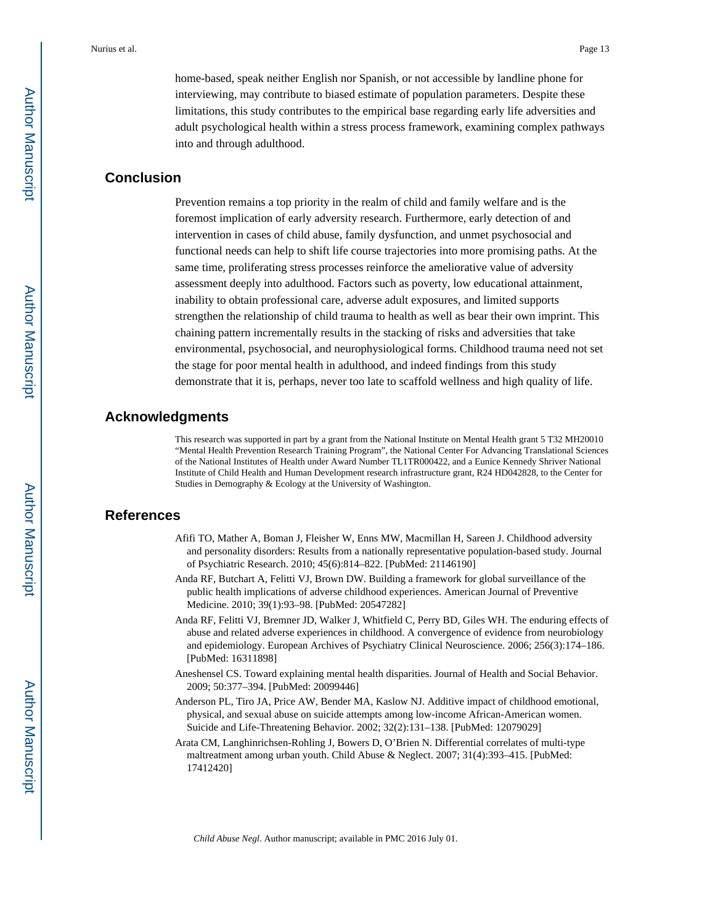home-based, speak neither English nor Spanish, or not accessible by landline phone for interviewing, may contribute to biased estimate of population parameters. Despite these limitations, this study contributes to the empirical base regarding early life adversities and adult psychological health within a stress process framework, examining complex pathways into and through adulthood.

## **Conclusion**

Prevention remains a top priority in the realm of child and family welfare and is the foremost implication of early adversity research. Furthermore, early detection of and intervention in cases of child abuse, family dysfunction, and unmet psychosocial and functional needs can help to shift life course trajectories into more promising paths. At the same time, proliferating stress processes reinforce the ameliorative value of adversity assessment deeply into adulthood. Factors such as poverty, low educational attainment, inability to obtain professional care, adverse adult exposures, and limited supports strengthen the relationship of child trauma to health as well as bear their own imprint. This chaining pattern incrementally results in the stacking of risks and adversities that take environmental, psychosocial, and neurophysiological forms. Childhood trauma need not set the stage for poor mental health in adulthood, and indeed findings from this study demonstrate that it is, perhaps, never too late to scaffold wellness and high quality of life.

## **Acknowledgments**

This research was supported in part by a grant from the National Institute on Mental Health grant 5 T32 MH20010 "Mental Health Prevention Research Training Program", the National Center For Advancing Translational Sciences of the National Institutes of Health under Award Number TL1TR000422, and a Eunice Kennedy Shriver National Institute of Child Health and Human Development research infrastructure grant, R24 HD042828, to the Center for Studies in Demography & Ecology at the University of Washington.

## **References**

- Afifi TO, Mather A, Boman J, Fleisher W, Enns MW, Macmillan H, Sareen J. Childhood adversity and personality disorders: Results from a nationally representative population-based study. Journal of Psychiatric Research. 2010; 45(6):814–822. [PubMed: 21146190]
- Anda RF, Butchart A, Felitti VJ, Brown DW. Building a framework for global surveillance of the public health implications of adverse childhood experiences. American Journal of Preventive Medicine. 2010; 39(1):93–98. [PubMed: 20547282]
- Anda RF, Felitti VJ, Bremner JD, Walker J, Whitfield C, Perry BD, Giles WH. The enduring effects of abuse and related adverse experiences in childhood. A convergence of evidence from neurobiology and epidemiology. European Archives of Psychiatry Clinical Neuroscience. 2006; 256(3):174–186. [PubMed: 16311898]
- Aneshensel CS. Toward explaining mental health disparities. Journal of Health and Social Behavior. 2009; 50:377–394. [PubMed: 20099446]
- Anderson PL, Tiro JA, Price AW, Bender MA, Kaslow NJ. Additive impact of childhood emotional, physical, and sexual abuse on suicide attempts among low-income African-American women. Suicide and Life-Threatening Behavior. 2002; 32(2):131–138. [PubMed: 12079029]
- Arata CM, Langhinrichsen-Rohling J, Bowers D, O'Brien N. Differential correlates of multi-type maltreatment among urban youth. Child Abuse & Neglect. 2007; 31(4):393–415. [PubMed: 17412420]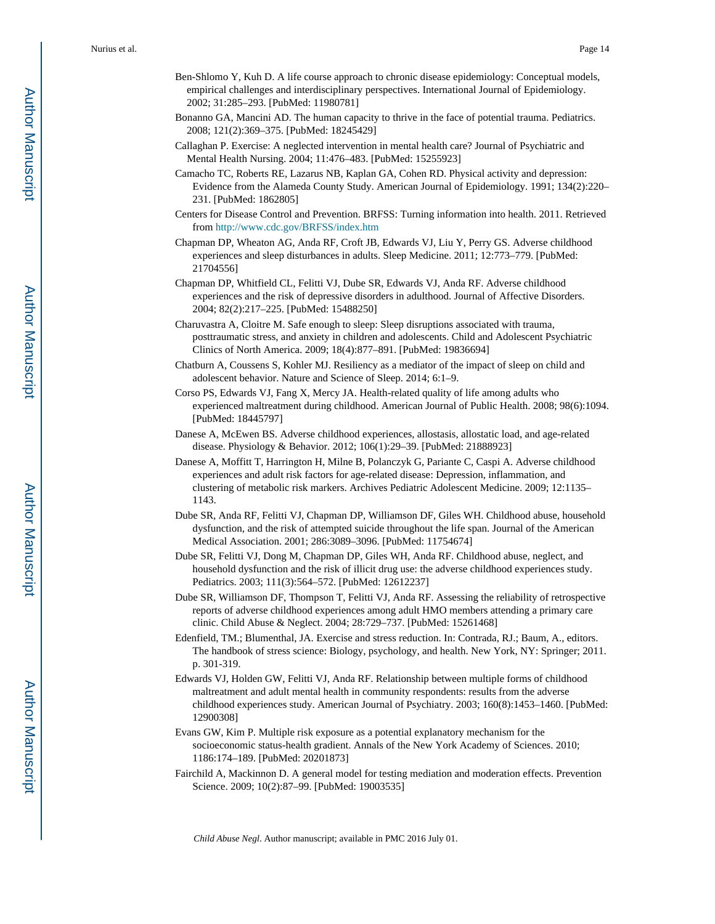- Ben-Shlomo Y, Kuh D. A life course approach to chronic disease epidemiology: Conceptual models, empirical challenges and interdisciplinary perspectives. International Journal of Epidemiology. 2002; 31:285–293. [PubMed: 11980781]
- Bonanno GA, Mancini AD. The human capacity to thrive in the face of potential trauma. Pediatrics. 2008; 121(2):369–375. [PubMed: 18245429]
- Callaghan P. Exercise: A neglected intervention in mental health care? Journal of Psychiatric and Mental Health Nursing. 2004; 11:476–483. [PubMed: 15255923]
- Camacho TC, Roberts RE, Lazarus NB, Kaplan GA, Cohen RD. Physical activity and depression: Evidence from the Alameda County Study. American Journal of Epidemiology. 1991; 134(2):220– 231. [PubMed: 1862805]
- Centers for Disease Control and Prevention. BRFSS: Turning information into health. 2011. Retrieved from <http://www.cdc.gov/BRFSS/index.htm>
- Chapman DP, Wheaton AG, Anda RF, Croft JB, Edwards VJ, Liu Y, Perry GS. Adverse childhood experiences and sleep disturbances in adults. Sleep Medicine. 2011; 12:773–779. [PubMed: 21704556]
- Chapman DP, Whitfield CL, Felitti VJ, Dube SR, Edwards VJ, Anda RF. Adverse childhood experiences and the risk of depressive disorders in adulthood. Journal of Affective Disorders. 2004; 82(2):217–225. [PubMed: 15488250]
- Charuvastra A, Cloitre M. Safe enough to sleep: Sleep disruptions associated with trauma, posttraumatic stress, and anxiety in children and adolescents. Child and Adolescent Psychiatric Clinics of North America. 2009; 18(4):877–891. [PubMed: 19836694]
- Chatburn A, Coussens S, Kohler MJ. Resiliency as a mediator of the impact of sleep on child and adolescent behavior. Nature and Science of Sleep. 2014; 6:1–9.
- Corso PS, Edwards VJ, Fang X, Mercy JA. Health-related quality of life among adults who experienced maltreatment during childhood. American Journal of Public Health. 2008; 98(6):1094. [PubMed: 18445797]
- Danese A, McEwen BS. Adverse childhood experiences, allostasis, allostatic load, and age-related disease. Physiology & Behavior. 2012; 106(1):29–39. [PubMed: 21888923]
- Danese A, Moffitt T, Harrington H, Milne B, Polanczyk G, Pariante C, Caspi A. Adverse childhood experiences and adult risk factors for age-related disease: Depression, inflammation, and clustering of metabolic risk markers. Archives Pediatric Adolescent Medicine. 2009; 12:1135– 1143.
- Dube SR, Anda RF, Felitti VJ, Chapman DP, Williamson DF, Giles WH. Childhood abuse, household dysfunction, and the risk of attempted suicide throughout the life span. Journal of the American Medical Association. 2001; 286:3089–3096. [PubMed: 11754674]
- Dube SR, Felitti VJ, Dong M, Chapman DP, Giles WH, Anda RF. Childhood abuse, neglect, and household dysfunction and the risk of illicit drug use: the adverse childhood experiences study. Pediatrics. 2003; 111(3):564–572. [PubMed: 12612237]
- Dube SR, Williamson DF, Thompson T, Felitti VJ, Anda RF. Assessing the reliability of retrospective reports of adverse childhood experiences among adult HMO members attending a primary care clinic. Child Abuse & Neglect. 2004; 28:729–737. [PubMed: 15261468]
- Edenfield, TM.; Blumenthal, JA. Exercise and stress reduction. In: Contrada, RJ.; Baum, A., editors. The handbook of stress science: Biology, psychology, and health. New York, NY: Springer; 2011. p. 301-319.
- Edwards VJ, Holden GW, Felitti VJ, Anda RF. Relationship between multiple forms of childhood maltreatment and adult mental health in community respondents: results from the adverse childhood experiences study. American Journal of Psychiatry. 2003; 160(8):1453–1460. [PubMed: 12900308]
- Evans GW, Kim P. Multiple risk exposure as a potential explanatory mechanism for the socioeconomic status-health gradient. Annals of the New York Academy of Sciences. 2010; 1186:174–189. [PubMed: 20201873]
- Fairchild A, Mackinnon D. A general model for testing mediation and moderation effects. Prevention Science. 2009; 10(2):87–99. [PubMed: 19003535]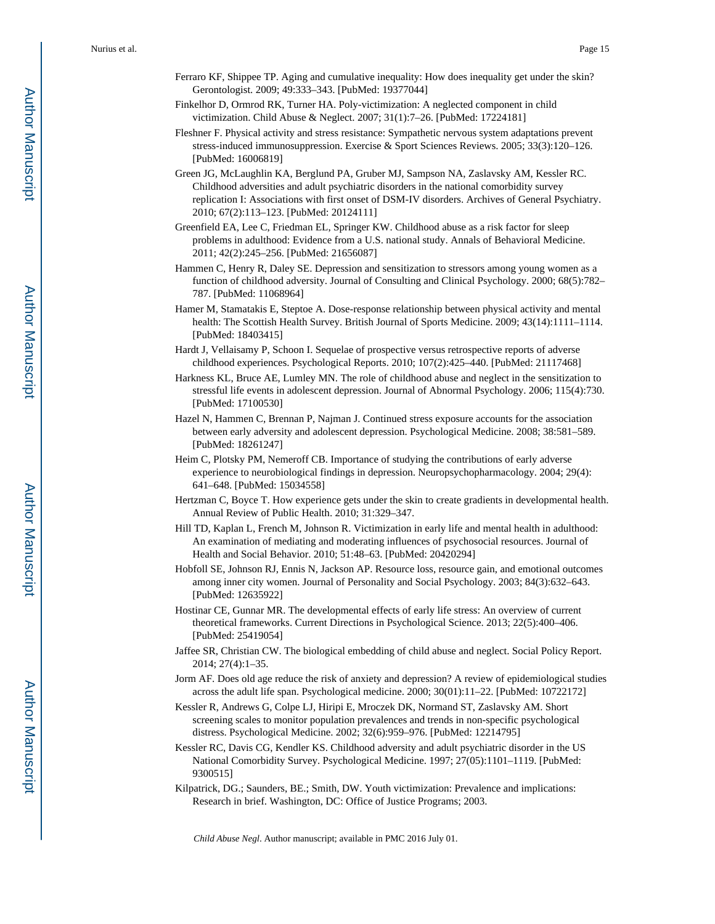- Ferraro KF, Shippee TP. Aging and cumulative inequality: How does inequality get under the skin? Gerontologist. 2009; 49:333–343. [PubMed: 19377044]
- Finkelhor D, Ormrod RK, Turner HA. Poly-victimization: A neglected component in child victimization. Child Abuse & Neglect. 2007; 31(1):7–26. [PubMed: 17224181]
- Fleshner F. Physical activity and stress resistance: Sympathetic nervous system adaptations prevent stress-induced immunosuppression. Exercise & Sport Sciences Reviews. 2005; 33(3):120–126. [PubMed: 16006819]
- Green JG, McLaughlin KA, Berglund PA, Gruber MJ, Sampson NA, Zaslavsky AM, Kessler RC. Childhood adversities and adult psychiatric disorders in the national comorbidity survey replication I: Associations with first onset of DSM-IV disorders. Archives of General Psychiatry. 2010; 67(2):113–123. [PubMed: 20124111]
- Greenfield EA, Lee C, Friedman EL, Springer KW. Childhood abuse as a risk factor for sleep problems in adulthood: Evidence from a U.S. national study. Annals of Behavioral Medicine. 2011; 42(2):245–256. [PubMed: 21656087]
- Hammen C, Henry R, Daley SE. Depression and sensitization to stressors among young women as a function of childhood adversity. Journal of Consulting and Clinical Psychology. 2000; 68(5):782– 787. [PubMed: 11068964]
- Hamer M, Stamatakis E, Steptoe A. Dose-response relationship between physical activity and mental health: The Scottish Health Survey. British Journal of Sports Medicine. 2009; 43(14):1111–1114. [PubMed: 18403415]
- Hardt J, Vellaisamy P, Schoon I. Sequelae of prospective versus retrospective reports of adverse childhood experiences. Psychological Reports. 2010; 107(2):425–440. [PubMed: 21117468]
- Harkness KL, Bruce AE, Lumley MN. The role of childhood abuse and neglect in the sensitization to stressful life events in adolescent depression. Journal of Abnormal Psychology. 2006; 115(4):730. [PubMed: 17100530]
- Hazel N, Hammen C, Brennan P, Najman J. Continued stress exposure accounts for the association between early adversity and adolescent depression. Psychological Medicine. 2008; 38:581–589. [PubMed: 18261247]
- Heim C, Plotsky PM, Nemeroff CB. Importance of studying the contributions of early adverse experience to neurobiological findings in depression. Neuropsychopharmacology. 2004; 29(4): 641–648. [PubMed: 15034558]
- Hertzman C, Boyce T. How experience gets under the skin to create gradients in developmental health. Annual Review of Public Health. 2010; 31:329–347.
- Hill TD, Kaplan L, French M, Johnson R. Victimization in early life and mental health in adulthood: An examination of mediating and moderating influences of psychosocial resources. Journal of Health and Social Behavior. 2010; 51:48–63. [PubMed: 20420294]
- Hobfoll SE, Johnson RJ, Ennis N, Jackson AP. Resource loss, resource gain, and emotional outcomes among inner city women. Journal of Personality and Social Psychology. 2003; 84(3):632–643. [PubMed: 12635922]
- Hostinar CE, Gunnar MR. The developmental effects of early life stress: An overview of current theoretical frameworks. Current Directions in Psychological Science. 2013; 22(5):400–406. [PubMed: 25419054]
- Jaffee SR, Christian CW. The biological embedding of child abuse and neglect. Social Policy Report. 2014; 27(4):1–35.
- Jorm AF. Does old age reduce the risk of anxiety and depression? A review of epidemiological studies across the adult life span. Psychological medicine. 2000; 30(01):11–22. [PubMed: 10722172]
- Kessler R, Andrews G, Colpe LJ, Hiripi E, Mroczek DK, Normand ST, Zaslavsky AM. Short screening scales to monitor population prevalences and trends in non-specific psychological distress. Psychological Medicine. 2002; 32(6):959–976. [PubMed: 12214795]
- Kessler RC, Davis CG, Kendler KS. Childhood adversity and adult psychiatric disorder in the US National Comorbidity Survey. Psychological Medicine. 1997; 27(05):1101–1119. [PubMed: 9300515]
- Kilpatrick, DG.; Saunders, BE.; Smith, DW. Youth victimization: Prevalence and implications: Research in brief. Washington, DC: Office of Justice Programs; 2003.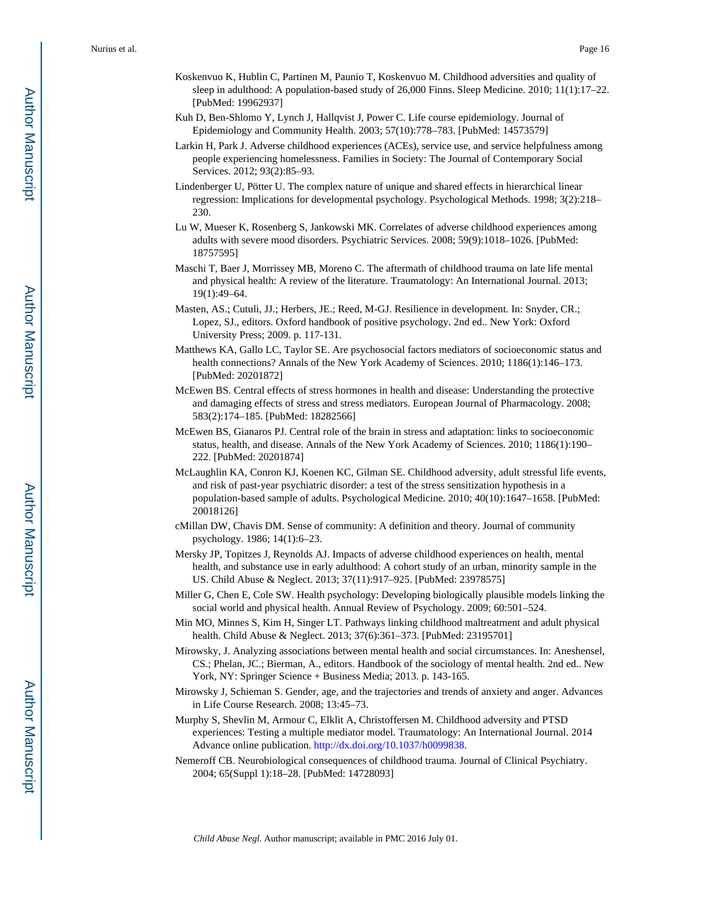- Koskenvuo K, Hublin C, Partinen M, Paunio T, Koskenvuo M. Childhood adversities and quality of sleep in adulthood: A population-based study of 26,000 Finns. Sleep Medicine. 2010; 11(1):17–22. [PubMed: 19962937]
- Kuh D, Ben-Shlomo Y, Lynch J, Hallqvist J, Power C. Life course epidemiology. Journal of Epidemiology and Community Health. 2003; 57(10):778–783. [PubMed: 14573579]
- Larkin H, Park J. Adverse childhood experiences (ACEs), service use, and service helpfulness among people experiencing homelessness. Families in Society: The Journal of Contemporary Social Services. 2012; 93(2):85–93.
- Lindenberger U, Pötter U. The complex nature of unique and shared effects in hierarchical linear regression: Implications for developmental psychology. Psychological Methods. 1998; 3(2):218– 230.
- Lu W, Mueser K, Rosenberg S, Jankowski MK. Correlates of adverse childhood experiences among adults with severe mood disorders. Psychiatric Services. 2008; 59(9):1018–1026. [PubMed: 18757595]
- Maschi T, Baer J, Morrissey MB, Moreno C. The aftermath of childhood trauma on late life mental and physical health: A review of the literature. Traumatology: An International Journal. 2013; 19(1):49–64.
- Masten, AS.; Cutuli, JJ.; Herbers, JE.; Reed, M-GJ. Resilience in development. In: Snyder, CR.; Lopez, SJ., editors. Oxford handbook of positive psychology. 2nd ed.. New York: Oxford University Press; 2009. p. 117-131.
- Matthews KA, Gallo LC, Taylor SE. Are psychosocial factors mediators of socioeconomic status and health connections? Annals of the New York Academy of Sciences. 2010; 1186(1):146–173. [PubMed: 20201872]
- McEwen BS. Central effects of stress hormones in health and disease: Understanding the protective and damaging effects of stress and stress mediators. European Journal of Pharmacology. 2008; 583(2):174–185. [PubMed: 18282566]
- McEwen BS, Gianaros PJ. Central role of the brain in stress and adaptation: links to socioeconomic status, health, and disease. Annals of the New York Academy of Sciences. 2010; 1186(1):190– 222. [PubMed: 20201874]
- McLaughlin KA, Conron KJ, Koenen KC, Gilman SE. Childhood adversity, adult stressful life events, and risk of past-year psychiatric disorder: a test of the stress sensitization hypothesis in a population-based sample of adults. Psychological Medicine. 2010; 40(10):1647–1658. [PubMed: 20018126]
- cMillan DW, Chavis DM. Sense of community: A definition and theory. Journal of community psychology. 1986; 14(1):6–23.
- Mersky JP, Topitzes J, Reynolds AJ. Impacts of adverse childhood experiences on health, mental health, and substance use in early adulthood: A cohort study of an urban, minority sample in the US. Child Abuse & Neglect. 2013; 37(11):917–925. [PubMed: 23978575]
- Miller G, Chen E, Cole SW. Health psychology: Developing biologically plausible models linking the social world and physical health. Annual Review of Psychology. 2009; 60:501–524.
- Min MO, Minnes S, Kim H, Singer LT. Pathways linking childhood maltreatment and adult physical health. Child Abuse & Neglect. 2013; 37(6):361–373. [PubMed: 23195701]
- Mirowsky, J. Analyzing associations between mental health and social circumstances. In: Aneshensel, CS.; Phelan, JC.; Bierman, A., editors. Handbook of the sociology of mental health. 2nd ed.. New York, NY: Springer Science + Business Media; 2013. p. 143-165.
- Mirowsky J, Schieman S. Gender, age, and the trajectories and trends of anxiety and anger. Advances in Life Course Research. 2008; 13:45–73.
- Murphy S, Shevlin M, Armour C, Elklit A, Christoffersen M. Childhood adversity and PTSD experiences: Testing a multiple mediator model. Traumatology: An International Journal. 2014 Advance online publication. [http://dx.doi.org/10.1037/h0099838.](http://dx.doi.org/10.1037/h0099838)
- Nemeroff CB. Neurobiological consequences of childhood trauma. Journal of Clinical Psychiatry. 2004; 65(Suppl 1):18–28. [PubMed: 14728093]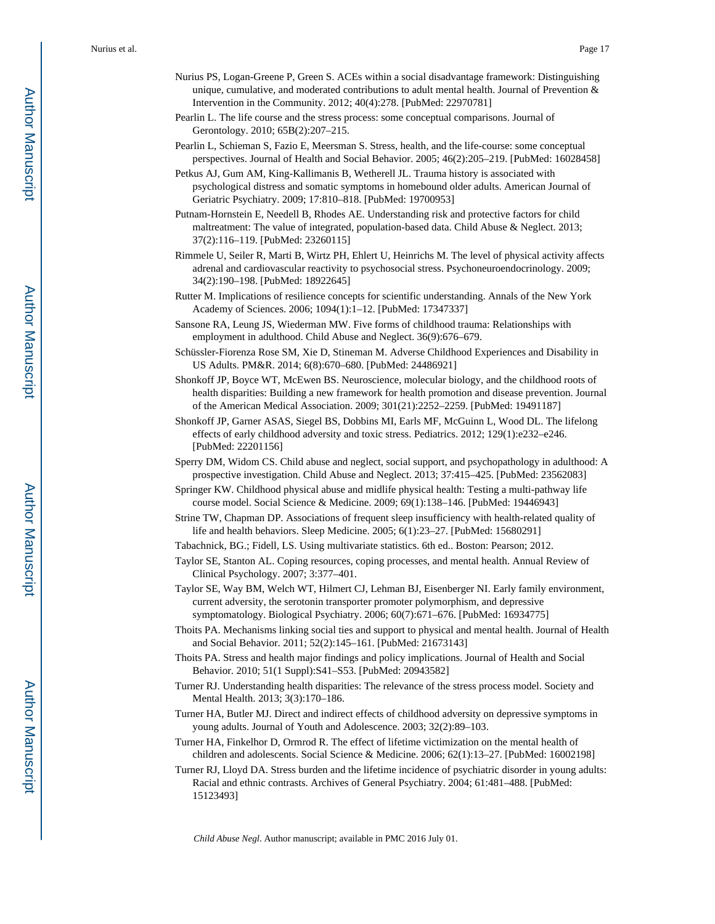- Nurius PS, Logan-Greene P, Green S. ACEs within a social disadvantage framework: Distinguishing unique, cumulative, and moderated contributions to adult mental health. Journal of Prevention & Intervention in the Community. 2012; 40(4):278. [PubMed: 22970781]
- Pearlin L. The life course and the stress process: some conceptual comparisons. Journal of Gerontology. 2010; 65B(2):207–215.
- Pearlin L, Schieman S, Fazio E, Meersman S. Stress, health, and the life-course: some conceptual perspectives. Journal of Health and Social Behavior. 2005; 46(2):205–219. [PubMed: 16028458]
- Petkus AJ, Gum AM, King-Kallimanis B, Wetherell JL. Trauma history is associated with psychological distress and somatic symptoms in homebound older adults. American Journal of Geriatric Psychiatry. 2009; 17:810–818. [PubMed: 19700953]
- Putnam-Hornstein E, Needell B, Rhodes AE. Understanding risk and protective factors for child maltreatment: The value of integrated, population-based data. Child Abuse & Neglect. 2013; 37(2):116–119. [PubMed: 23260115]
- Rimmele U, Seiler R, Marti B, Wirtz PH, Ehlert U, Heinrichs M. The level of physical activity affects adrenal and cardiovascular reactivity to psychosocial stress. Psychoneuroendocrinology. 2009; 34(2):190–198. [PubMed: 18922645]
- Rutter M. Implications of resilience concepts for scientific understanding. Annals of the New York Academy of Sciences. 2006; 1094(1):1–12. [PubMed: 17347337]
- Sansone RA, Leung JS, Wiederman MW. Five forms of childhood trauma: Relationships with employment in adulthood. Child Abuse and Neglect. 36(9):676–679.
- Schüssler-Fiorenza Rose SM, Xie D, Stineman M. Adverse Childhood Experiences and Disability in US Adults. PM&R. 2014; 6(8):670–680. [PubMed: 24486921]
- Shonkoff JP, Boyce WT, McEwen BS. Neuroscience, molecular biology, and the childhood roots of health disparities: Building a new framework for health promotion and disease prevention. Journal of the American Medical Association. 2009; 301(21):2252–2259. [PubMed: 19491187]
- Shonkoff JP, Garner ASAS, Siegel BS, Dobbins MI, Earls MF, McGuinn L, Wood DL. The lifelong effects of early childhood adversity and toxic stress. Pediatrics. 2012; 129(1):e232–e246. [PubMed: 22201156]
- Sperry DM, Widom CS. Child abuse and neglect, social support, and psychopathology in adulthood: A prospective investigation. Child Abuse and Neglect. 2013; 37:415–425. [PubMed: 23562083]
- Springer KW. Childhood physical abuse and midlife physical health: Testing a multi-pathway life course model. Social Science & Medicine. 2009; 69(1):138–146. [PubMed: 19446943]
- Strine TW, Chapman DP. Associations of frequent sleep insufficiency with health-related quality of life and health behaviors. Sleep Medicine. 2005; 6(1):23–27. [PubMed: 15680291]
- Tabachnick, BG.; Fidell, LS. Using multivariate statistics. 6th ed.. Boston: Pearson; 2012.

Taylor SE, Stanton AL. Coping resources, coping processes, and mental health. Annual Review of Clinical Psychology. 2007; 3:377–401.

- Taylor SE, Way BM, Welch WT, Hilmert CJ, Lehman BJ, Eisenberger NI. Early family environment, current adversity, the serotonin transporter promoter polymorphism, and depressive symptomatology. Biological Psychiatry. 2006; 60(7):671–676. [PubMed: 16934775]
- Thoits PA. Mechanisms linking social ties and support to physical and mental health. Journal of Health and Social Behavior. 2011; 52(2):145–161. [PubMed: 21673143]
- Thoits PA. Stress and health major findings and policy implications. Journal of Health and Social Behavior. 2010; 51(1 Suppl):S41–S53. [PubMed: 20943582]
- Turner RJ. Understanding health disparities: The relevance of the stress process model. Society and Mental Health. 2013; 3(3):170–186.
- Turner HA, Butler MJ. Direct and indirect effects of childhood adversity on depressive symptoms in young adults. Journal of Youth and Adolescence. 2003; 32(2):89–103.
- Turner HA, Finkelhor D, Ormrod R. The effect of lifetime victimization on the mental health of children and adolescents. Social Science & Medicine. 2006; 62(1):13–27. [PubMed: 16002198]
- Turner RJ, Lloyd DA. Stress burden and the lifetime incidence of psychiatric disorder in young adults: Racial and ethnic contrasts. Archives of General Psychiatry. 2004; 61:481–488. [PubMed: 15123493]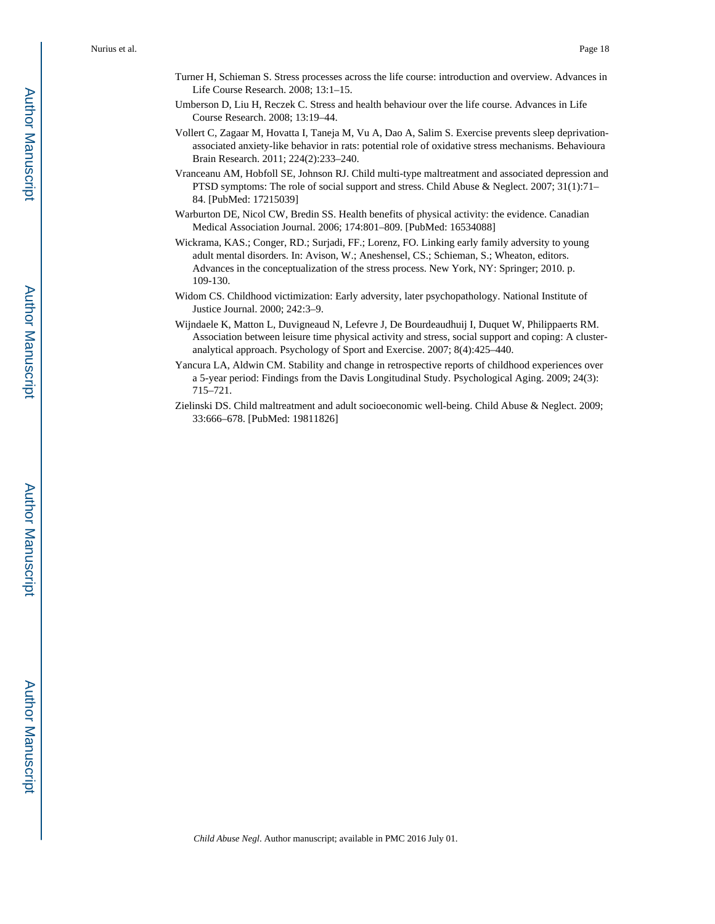- Turner H, Schieman S. Stress processes across the life course: introduction and overview. Advances in Life Course Research. 2008; 13:1–15.
- Umberson D, Liu H, Reczek C. Stress and health behaviour over the life course. Advances in Life Course Research. 2008; 13:19–44.
- Vollert C, Zagaar M, Hovatta I, Taneja M, Vu A, Dao A, Salim S. Exercise prevents sleep deprivationassociated anxiety-like behavior in rats: potential role of oxidative stress mechanisms. Behavioura Brain Research. 2011; 224(2):233–240.
- Vranceanu AM, Hobfoll SE, Johnson RJ. Child multi-type maltreatment and associated depression and PTSD symptoms: The role of social support and stress. Child Abuse & Neglect. 2007; 31(1):71– 84. [PubMed: 17215039]
- Warburton DE, Nicol CW, Bredin SS. Health benefits of physical activity: the evidence. Canadian Medical Association Journal. 2006; 174:801–809. [PubMed: 16534088]
- Wickrama, KAS.; Conger, RD.; Surjadi, FF.; Lorenz, FO. Linking early family adversity to young adult mental disorders. In: Avison, W.; Aneshensel, CS.; Schieman, S.; Wheaton, editors. Advances in the conceptualization of the stress process. New York, NY: Springer; 2010. p. 109-130.
- Widom CS. Childhood victimization: Early adversity, later psychopathology. National Institute of Justice Journal. 2000; 242:3–9.
- Wijndaele K, Matton L, Duvigneaud N, Lefevre J, De Bourdeaudhuij I, Duquet W, Philippaerts RM. Association between leisure time physical activity and stress, social support and coping: A clusteranalytical approach. Psychology of Sport and Exercise. 2007; 8(4):425–440.
- Yancura LA, Aldwin CM. Stability and change in retrospective reports of childhood experiences over a 5-year period: Findings from the Davis Longitudinal Study. Psychological Aging. 2009; 24(3): 715–721.
- Zielinski DS. Child maltreatment and adult socioeconomic well-being. Child Abuse & Neglect. 2009; 33:666–678. [PubMed: 19811826]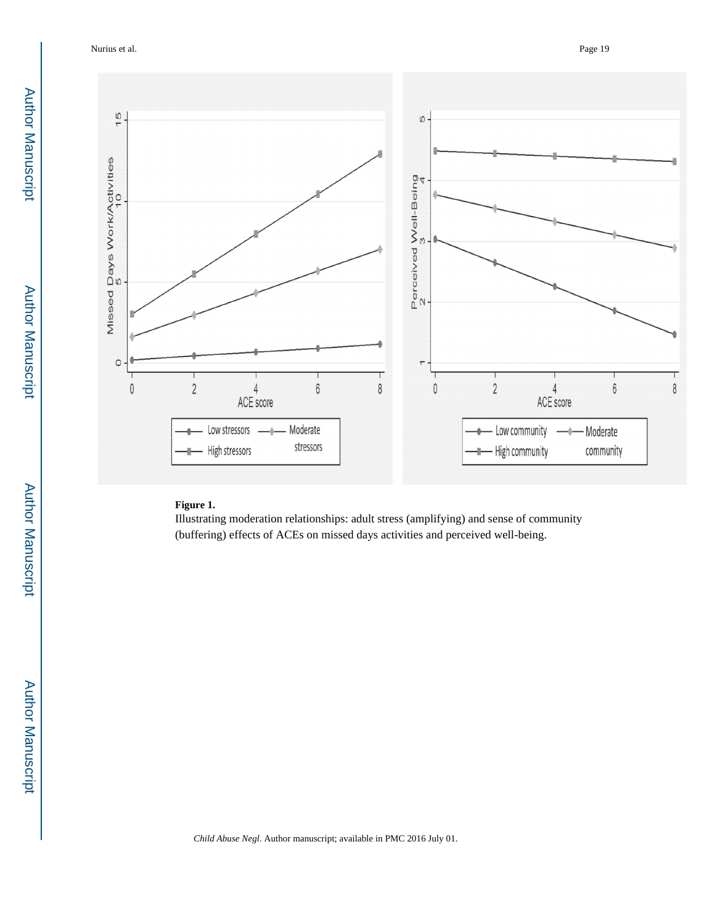Nurius et al. Page 19



## **Figure 1.**

Illustrating moderation relationships: adult stress (amplifying) and sense of community (buffering) effects of ACEs on missed days activities and perceived well-being.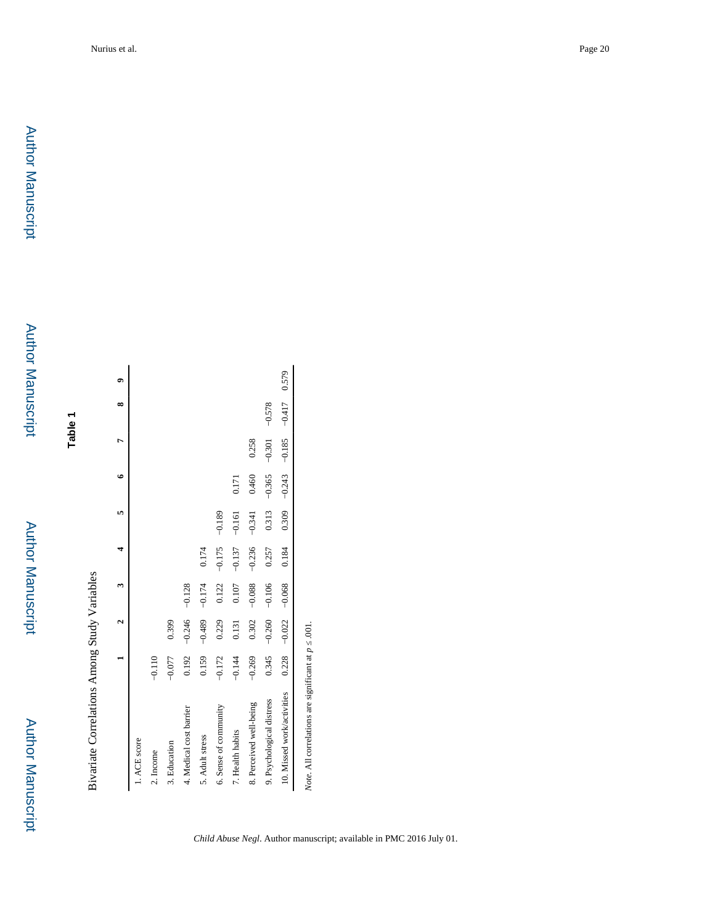Bivariate Correlations Among Study Variables Bivariate Correlations Among Study Variables

|                            |          | $\mathbf{\hat{z}}$   |          | 4        | Щ        | $\bullet$ | r        | œ              |  |
|----------------------------|----------|----------------------|----------|----------|----------|-----------|----------|----------------|--|
| 1. ACE score               |          |                      |          |          |          |           |          |                |  |
| 2. Income                  | $-0.110$ |                      |          |          |          |           |          |                |  |
| 3. Education               | $-0.077$ | 0.399                |          |          |          |           |          |                |  |
| 4. Medical cost barrier    | 0.192    | $-0.246$             | $-0.128$ |          |          |           |          |                |  |
| 5. Adult stress            | 0.159    | $-0.489$             | $-0.174$ | 0.174    |          |           |          |                |  |
| 6. Sense of community      | $-0.172$ | 0.229                | 0.122    | $-0.175$ | $-0.189$ |           |          |                |  |
| 7. Health habits           | $-0.144$ | 0.131                | 0.107    | $-0.137$ | $-0.161$ | 0.171     |          |                |  |
| 8. Perceived well-being    | $-0.269$ | 0.302                | $-0.088$ | $-0.236$ | $-0.341$ | 0.460     | 0.258    |                |  |
| 9. Psychological distress  | 0.345    | $-0.260$             | $-0.106$ | 0.257    | 0.313    | $-0.365$  | $-0.301$ | $-0.578$       |  |
| 10. Missed work/activities | 0.228    | $-0.022$             | $-0.068$ | 0.184    | 0.309    | $-0.243$  | $-0.185$ | $-0.417$ 0.579 |  |
| $\ddot{\phantom{a}}$<br>Ï  |          | $\ddot{\phantom{0}}$ |          |          |          |           |          |                |  |

Note. All correlations are significant at  $p$  .001. *Note*. All correlations are significant at  $p \sim 0.001$ .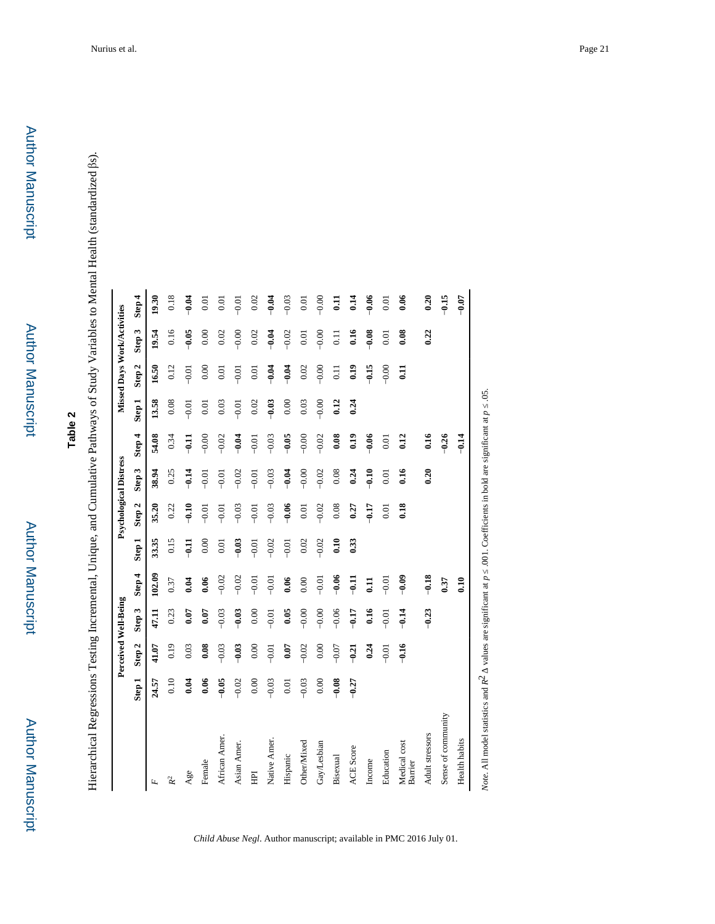Author Manuscript

Author Manuscript

Hierarchical Regressions Testing Incremental, Unique, and Cumulative Pathways of Study Variables to Mental Health (standardized  $\beta s$ ). Hierarchical Regressions Testing Incremental, Unique, and Cumulative Pathways of Study Variables to Mental Health (standardized βs).

|                                               |                   | Perceived Well-Being |                               |         |                                                 | Psychological Distress |         |         |                   |                   | Missed Days Work/Activities |         |
|-----------------------------------------------|-------------------|----------------------|-------------------------------|---------|-------------------------------------------------|------------------------|---------|---------|-------------------|-------------------|-----------------------------|---------|
|                                               | Step <sub>1</sub> | Step <sub>2</sub>    | Step 3                        | Step 4  | Step <sub>1</sub>                               | Step <sub>2</sub>      | Step 3  | Step 4  | Step <sub>1</sub> | Step <sub>2</sub> | Step 3                      | Step 4  |
| Ŀ,                                            | 24.57             | 41.07                | 47.11                         | 102.09  | 33.35                                           | 35.20                  | 38.94   | 54.08   | 13.58             | 16.50             | 19.54                       | 19.30   |
| $\mathbb{R}^2$                                | 0.10              | 0.19                 | 0.23                          | 0.37    | 0.15                                            | 0.22                   | 0.25    | 0.34    | 0.08              | 0.12              | 0.16                        | 0.18    |
| Age                                           | 0.04              | 0.03                 | 0.07                          | 0.04    | $-0.11$                                         | $-0.10$                | $-0.14$ | $-0.11$ | $-0.01$           | $-0.01$           | $-0.05$                     | $-0.04$ |
| Female                                        | 0.06              | 0.08                 | 0.07                          | 6.06    | 0.00                                            | $-0.01$                | $-0.01$ | $-0.00$ | 0.01              | 0.00              | 0.00                        | 0.01    |
| African Amer.                                 | $-0.05$           | $-0.03$              | $-0.03$                       | $-0.02$ | 0.01                                            | $-0.01$                | $-0.01$ | $-0.02$ | 0.03              | 0.01              | 0.02                        | 0.01    |
| Asian Amer.                                   | $-0.02$           | $-0.03$              | $-0.03$                       | $-0.02$ | $-0.03$                                         | $-0.03$                | $-0.02$ | $-0.04$ | $-0.01$           | $-0.01$           | $-0.00$                     | $-0.01$ |
| EH                                            | 0.00              | 0.00                 | 0.00                          | $-0.01$ | $-0.01$                                         | $-0.01$                | $-0.01$ | $-0.01$ | 0.02              | 0.01              | 0.02                        | 0.02    |
| Native Amer.                                  | $-0.03$           | $-0.01$              | $-0.01$                       | $-0.01$ | $-0.02$                                         | $-0.03$                | $-0.03$ | $-0.03$ | $-0.03$           | $-0.04$           | $-0.04$                     | $-0.04$ |
| Hispanic                                      | 0.01              | 0.07                 | 0.05                          | 0.06    | $-0.01$                                         | $-0.06$                | $-0.04$ | $-0.05$ | 0.00              | $-0.04$           | $-0.02$                     | $-0.03$ |
| Other/Mixed                                   | $-0.03$           | $-0.02$              | $-0.00$                       | 0.00    | 0.02                                            | 0.01                   | $-0.00$ | $-0.00$ | 0.03              | 0.02              | 0.01                        | 0.01    |
| Gay/Lesbian                                   | 0.00              | 0.00                 | $-0.00$                       | $-0.01$ | $-0.02$                                         | $-0.02$                | $-0.02$ | $-0.02$ | $-0.00$           | $-0.00$           | $-0.00$                     | $-0.00$ |
| Bisexual                                      | $-0.08$           | $-0.07$              | $-0.06$                       | $-0.06$ | $\frac{1}{2}$                                   | 0.08                   | 0.08    | 0.08    | 0.12              | $\Xi$             | 0.11                        | $\Xi$   |
| ACE Score                                     | $-0.27$           | $-0.21$              | $-0.17$                       | $-0.11$ | 0.33                                            | 0.27                   | 0.24    | 0.19    | 0.24              | 0.19              | 0.16                        | 0.14    |
| Income                                        |                   | 0.24                 | 0.16                          | $\Xi$   |                                                 | $-0.17$                | $-0.10$ | $-0.06$ |                   | $-0.15$           | $-0.08$                     | $-0.06$ |
| Education                                     |                   | $-0.01$              | $-0.01$                       | $-0.01$ |                                                 | 0.01                   | 0.01    | 0.01    |                   | $-0.00$           | 0.01                        | 0.01    |
| Medical cost<br>Barrier                       |                   | $-0.16$              | $-0.14$                       | $-0.09$ |                                                 | 0.18                   | 0.16    | 0.12    |                   | $\Xi$             | 0.08                        | 0.06    |
| Adult stressors                               |                   |                      | $-0.23$                       | $-0.18$ |                                                 |                        | 0.20    | 0.16    |                   |                   | 0.22                        | 0.20    |
| Sense of community                            |                   |                      |                               | 0.37    |                                                 |                        |         | $-0.26$ |                   |                   |                             | $-0.15$ |
| Health habits                                 |                   |                      |                               | 0.10    |                                                 |                        |         | $-0.14$ |                   |                   |                             | $-0.07$ |
| Note. All model statistics and $\mathbb{R}^2$ |                   |                      | values are significant at $p$ |         | .001. Coefficients in bold are significant at p |                        |         |         | Э.                |                   |                             |         |
|                                               |                   |                      |                               |         |                                                 |                        |         |         |                   |                   |                             |         |

*Child Abuse Negl*. Author manuscript; available in PMC 2016 July 01.

*Note*. All model statistics and *R*